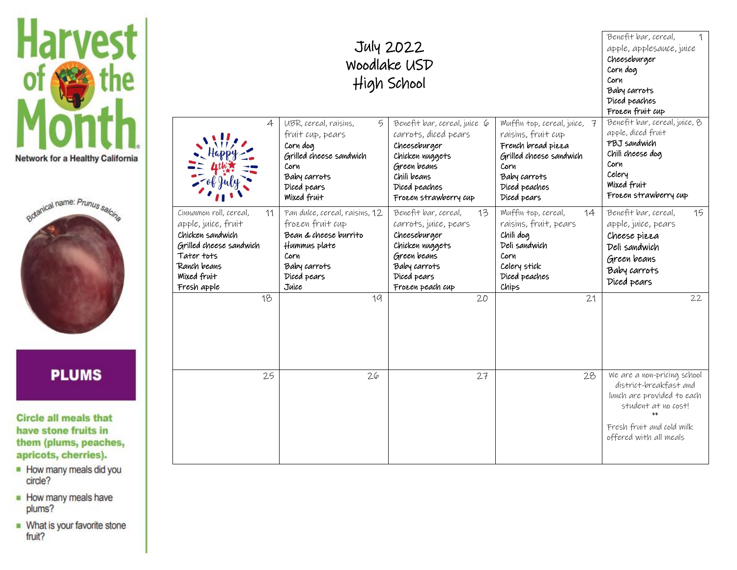



## **PLUMS**

**Circle all meals that** have stone fruits in them (plums, peaches, apricots, cherries).

- How many meals did you circle?
- How many meals have plums?
- What is your favorite stone<br>fruit?

| July 2022<br>Woodlake USD<br>High School                                                                                                                      |                                                                                                                                                    |                                                                                                                                                                 |                                                                                                                                                             | Benefit bar, cereal,<br>1<br>apple, applesauce, juice<br>Cheeseburger<br>Corn dog<br>Corn<br>Baby carrots<br>Diced peaches<br>Frozen fruit cup                    |
|---------------------------------------------------------------------------------------------------------------------------------------------------------------|----------------------------------------------------------------------------------------------------------------------------------------------------|-----------------------------------------------------------------------------------------------------------------------------------------------------------------|-------------------------------------------------------------------------------------------------------------------------------------------------------------|-------------------------------------------------------------------------------------------------------------------------------------------------------------------|
| 4                                                                                                                                                             | UBR, cereal, raisins,<br>5<br>fruit cup, pears<br>Corn dog<br>Grilled cheese sandwich<br>Corn<br>Baby carrots<br>Diced pears<br><b>Mixed fruit</b> | Benefit bar, cereal, juice 6<br>carrots, diced pears<br>Cheeseburger<br>Chicken nuggets<br>Green beans<br>Chili beans<br>Diced peaches<br>Frozen strawberry cup | Muffin top, cereal, juice, 7<br>raisins, fruit cup<br>French bread pizza<br>Grilled cheese sandwich<br>Corn<br>Baby carrots<br>Diced peaches<br>Diced pears | Benefit bar, cereal, juice, 8<br>apple, diced fruit<br>PBJ sandwich<br>Chili cheese dog<br>Corn<br>Celery<br>Mixed fruit<br>Frozen strawberry cup                 |
| Cinnamon roll, cereal,<br>11<br>apple, juice, fruit<br>Chicken sandwich<br>Grilled cheese sandwich<br>Tater tots<br>Ranch beans<br>Mixed fruit<br>Fresh apple | Pan dulce, cereal, raisins, 12<br>frozen fruit cup<br>Bean & cheese burrito<br>Hummus plate<br>Corn<br>Baby carrots<br>Diced pears<br>Juice        | Benefit bar, cereal,<br>13<br>carrots, juice, pears<br>Cheeseburger<br>Chicken nuggets<br>Green beans<br>Baby carrots<br>Diced pears<br>Frozen peach cup        | Muffin top, cereal,<br>14<br>raisins, fruit, pears<br>Chili dog<br>Deli sandwich<br>Corn<br>Celery stick<br>Diced peaches<br>Chips                          | Benefit bar, cereal,<br>15<br>apple, juice, pears<br>Cheese pizza<br>Deli sandwich<br>Green beans<br>Baby carrots<br>Diced pears                                  |
| 18                                                                                                                                                            | 19                                                                                                                                                 | 20                                                                                                                                                              | 21                                                                                                                                                          | 22                                                                                                                                                                |
| 25                                                                                                                                                            | 26                                                                                                                                                 | 27                                                                                                                                                              | 28                                                                                                                                                          | We are a non-pricing school<br>district-breakfast and<br>lunch are provided to each<br>student at no cost!<br>Fresh fruit and cold milk<br>offered with all meals |